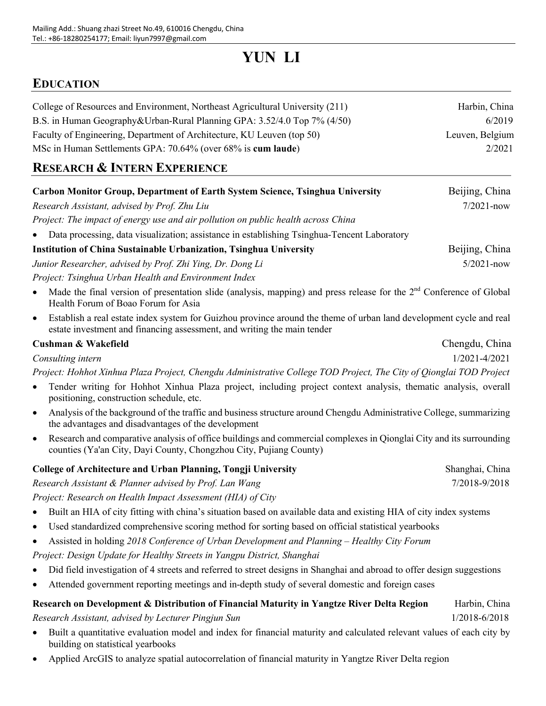# **YUN LI**

## **EDUCATION**

| College of Resources and Environment, Northeast Agricultural University (211) | Harbin, China   |
|-------------------------------------------------------------------------------|-----------------|
| B.S. in Human Geography&Urban-Rural Planning GPA: 3.52/4.0 Top 7% (4/50)      | 6/2019          |
| Faculty of Engineering, Department of Architecture, KU Leuven (top 50)        | Leuven, Belgium |
| MSc in Human Settlements GPA: 70.64% (over 68% is cum laude)                  | 2/2021          |
|                                                                               |                 |

## **RESEARCH & INTERN EXPERIENCE**

|           | Carbon Monitor Group, Department of Earth System Science, Tsinghua University                                                                                                                  | Beijing, China  |
|-----------|------------------------------------------------------------------------------------------------------------------------------------------------------------------------------------------------|-----------------|
|           | Research Assistant, advised by Prof. Zhu Liu                                                                                                                                                   | $7/2021$ -now   |
|           | Project: The impact of energy use and air pollution on public health across China                                                                                                              |                 |
|           | Data processing, data visualization; assistance in establishing Tsinghua-Tencent Laboratory                                                                                                    |                 |
|           | <b>Institution of China Sustainable Urbanization, Tsinghua University</b>                                                                                                                      | Beijing, China  |
|           | Junior Researcher, advised by Prof. Zhi Ying, Dr. Dong Li                                                                                                                                      | $5/2021$ -now   |
|           | Project: Tsinghua Urban Health and Environment Index                                                                                                                                           |                 |
| $\bullet$ | Made the final version of presentation slide (analysis, mapping) and press release for the $2nd$ Conference of Global<br>Health Forum of Boao Forum for Asia                                   |                 |
| $\bullet$ | Establish a real estate index system for Guizhou province around the theme of urban land development cycle and real<br>estate investment and financing assessment, and writing the main tender |                 |
|           | Cushman & Wakefield                                                                                                                                                                            | Chengdu, China  |
|           | Consulting intern                                                                                                                                                                              | 1/2021-4/2021   |
|           | Project: Hohhot Xinhua Plaza Project, Chengdu Administrative College TOD Project, The City of Qionglai TOD Project                                                                             |                 |
| $\bullet$ | Tender writing for Hohhot Xinhua Plaza project, including project context analysis, thematic analysis, overall<br>positioning, construction schedule, etc.                                     |                 |
| $\bullet$ | Analysis of the background of the traffic and business structure around Chengdu Administrative College, summarizing<br>the advantages and disadvantages of the development                     |                 |
| $\bullet$ | Research and comparative analysis of office buildings and commercial complexes in Qionglai City and its surrounding<br>counties (Ya'an City, Dayi County, Chongzhou City, Pujiang County)      |                 |
|           | College of Architecture and Urban Planning, Tongji University                                                                                                                                  | Shanghai, China |
|           | Research Assistant & Planner advised by Prof. Lan Wang                                                                                                                                         | 7/2018-9/2018   |
|           | Project: Research on Health Impact Assessment (HIA) of City                                                                                                                                    |                 |
| $\bullet$ | Built an HIA of city fitting with china's situation based on available data and existing HIA of city index systems                                                                             |                 |
| $\bullet$ | Used standardized comprehensive scoring method for sorting based on official statistical yearbooks                                                                                             |                 |
| $\bullet$ | Assisted in holding 2018 Conference of Urban Development and Planning - Healthy City Forum                                                                                                     |                 |
|           | Project: Design Update for Healthy Streets in Yangpu District, Shanghai                                                                                                                        |                 |
| $\bullet$ | Did field investigation of 4 streets and referred to street designs in Shanghai and abroad to offer design suggestions                                                                         |                 |
| $\bullet$ | Attended government reporting meetings and in-depth study of several domestic and foreign cases                                                                                                |                 |
|           | Research on Development & Distribution of Financial Maturity in Yangtze River Delta Region                                                                                                     | Harbin, China   |
|           | Research Assistant, advised by Lecturer Pingjun Sun                                                                                                                                            | 1/2018-6/2018   |
|           | Built a quantitative evaluation model and index for financial maturity and calculated relevant values of each city by<br>building on statistical yearbooks                                     |                 |

• Applied ArcGIS to analyze spatial autocorrelation of financial maturity in Yangtze River Delta region